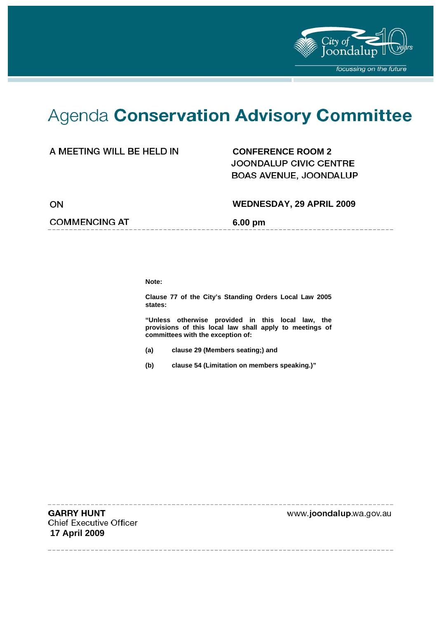

# Agenda Conservation Advisory Committee

### A MEETING WILL BE HELD IN **CONFERENCE ROOM 2**

**JOONDALUP CIVIC CENTRE** BOAS AVENUE, JOONDALUP

ON

#### **WEDNESDAY, 29 APRIL 2009**

--------------------

#### **COMMENCING AT 6.00 pm**

**Note:** 

**Clause 77 of the City's Standing Orders Local Law 2005 states:** 

**"Unless otherwise provided in this local law, the provisions of this local law shall apply to meetings of committees with the exception of:** 

- **(a) clause 29 (Members seating;) and**
- **(b) clause 54 (Limitation on members speaking.)"**

**GARRY HUNT Chief Executive Officer 17 April 2009** 

www.joondalup.wa.gov.au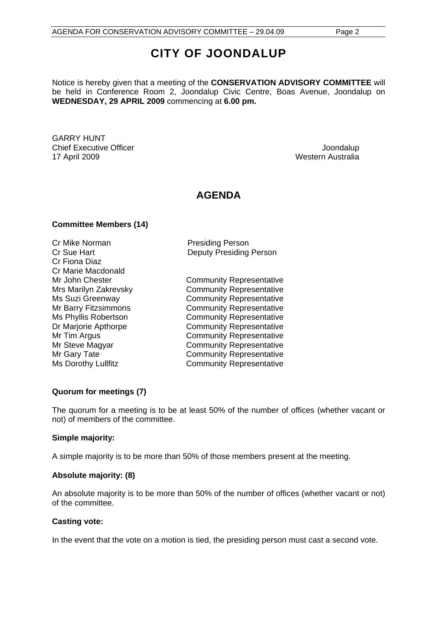## **CITY OF JOONDALUP**

Notice is hereby given that a meeting of the **CONSERVATION ADVISORY COMMITTEE** will be held in Conference Room 2, Joondalup Civic Centre, Boas Avenue, Joondalup on **WEDNESDAY, 29 APRIL 2009** commencing at **6.00 pm.** 

GARRY HUNT Chief Executive Officer  $\Box$  Joondalup 17 April 2009 Western Australia

### **AGENDA**

#### **Committee Members (14)**

Cr Mike Norman **Presiding Person** Cr Fiona Diaz Cr Marie Macdonald

Cr Sue Hart **Deputy Presiding Person** 

Mr John Chester **Community Representative** Mrs Marilyn Zakrevsky Community Representative Ms Suzi Greenway **Community Representative** Mr Barry Fitzsimmons **Community Representative** Ms Phyllis Robertson **Community Representative** Dr Marjorie Apthorpe **Community Representative** Mr Tim Argus **Community Representative** Mr Steve Magyar **Community Representative** Mr Gary Tate **Community Representative** Ms Dorothy Lullfitz **Community Representative** 

#### **Quorum for meetings (7)**

The quorum for a meeting is to be at least 50% of the number of offices (whether vacant or not) of members of the committee.

#### **Simple majority:**

A simple majority is to be more than 50% of those members present at the meeting.

#### **Absolute majority: (8)**

An absolute majority is to be more than 50% of the number of offices (whether vacant or not) of the committee.

#### **Casting vote:**

In the event that the vote on a motion is tied, the presiding person must cast a second vote.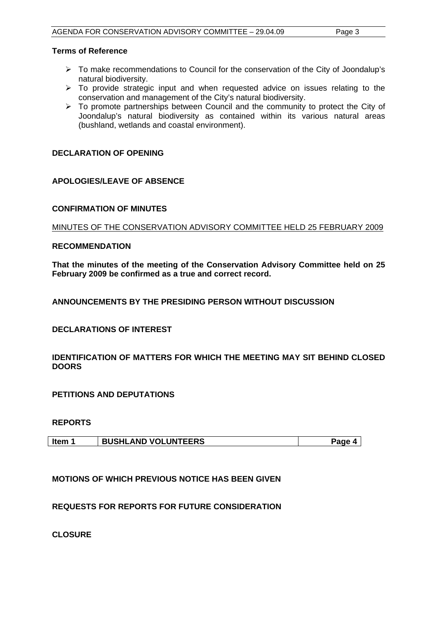#### **Terms of Reference**

- ¾ To make recommendations to Council for the conservation of the City of Joondalup's natural biodiversity.
- $\geq$  To provide strategic input and when requested advice on issues relating to the conservation and management of the City's natural biodiversity.
- $\triangleright$  To promote partnerships between Council and the community to protect the City of Joondalup's natural biodiversity as contained within its various natural areas (bushland, wetlands and coastal environment).

#### **DECLARATION OF OPENING**

#### **APOLOGIES/LEAVE OF ABSENCE**

#### **CONFIRMATION OF MINUTES**

#### MINUTES OF THE CONSERVATION ADVISORY COMMITTEE HELD 25 FEBRUARY 2009

#### **RECOMMENDATION**

**That the minutes of the meeting of the Conservation Advisory Committee held on 25 February 2009 be confirmed as a true and correct record.** 

#### **ANNOUNCEMENTS BY THE PRESIDING PERSON WITHOUT DISCUSSION**

#### **DECLARATIONS OF INTEREST**

#### **IDENTIFICATION OF MATTERS FOR WHICH THE MEETING MAY SIT BEHIND CLOSED DOORS**

**PETITIONS AND DEPUTATIONS** 

#### **REPORTS**

| Item 1 | <b>BUSHLAND VOLUNTEERS</b> | Paqe 4 |
|--------|----------------------------|--------|
|        |                            |        |

#### **MOTIONS OF WHICH PREVIOUS NOTICE HAS BEEN GIVEN**

#### **REQUESTS FOR REPORTS FOR FUTURE CONSIDERATION**

**CLOSURE**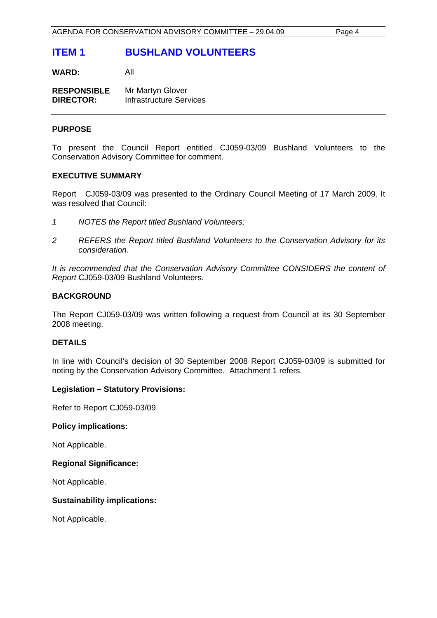### **ITEM 1 BUSHLAND VOLUNTEERS**

**WARD:** All

**RESPONSIBLE** Mr Martyn Glover **DIRECTOR:** Infrastructure Services

#### **PURPOSE**

To present the Council Report entitled CJ059-03/09 Bushland Volunteers to the Conservation Advisory Committee for comment.

#### **EXECUTIVE SUMMARY**

Report CJ059-03/09 was presented to the Ordinary Council Meeting of 17 March 2009. It was resolved that Council:

- *1 NOTES the Report titled Bushland Volunteers;*
- *2 REFERS the Report titled Bushland Volunteers to the Conservation Advisory for its consideration.*

*It is recommended that the Conservation Advisory Committee CONSIDERS the content of Report* CJ059-03/09 Bushland Volunteers.

#### **BACKGROUND**

The Report CJ059-03/09 was written following a request from Council at its 30 September 2008 meeting.

#### **DETAILS**

In line with Council's decision of 30 September 2008 Report CJ059-03/09 is submitted for noting by the Conservation Advisory Committee. Attachment 1 refers.

#### **Legislation – Statutory Provisions:**

Refer to Report CJ059-03/09

#### **Policy implications:**

Not Applicable.

#### **Regional Significance:**

Not Applicable.

#### **Sustainability implications:**

Not Applicable.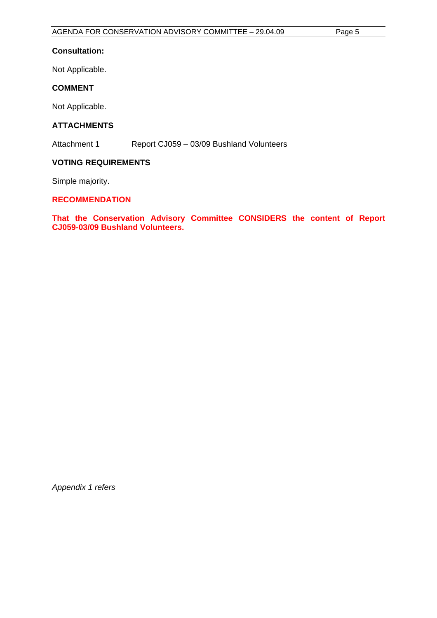#### **Consultation:**

Not Applicable.

#### **COMMENT**

Not Applicable.

#### **ATTACHMENTS**

Attachment 1 Report CJ059 – 03/09 Bushland Volunteers

#### **VOTING REQUIREMENTS**

Simple majority.

#### **RECOMMENDATION**

**That the Conservation Advisory Committee CONSIDERS the content of Report CJ059-03/09 Bushland Volunteers.** 

*Appendix 1 refers*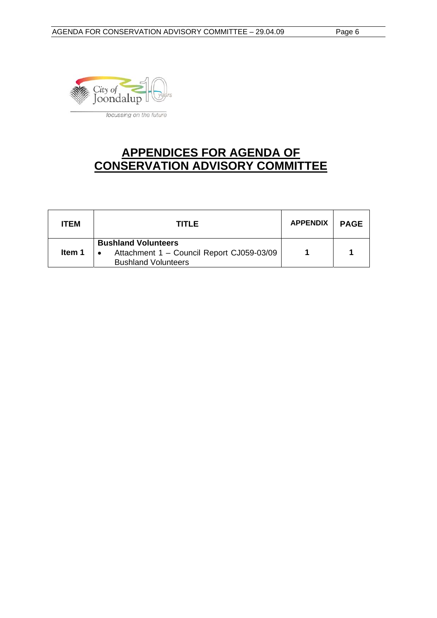

### **APPENDICES FOR AGENDA OF CONSERVATION ADVISORY COMMITTEE**

| <b>ITEM</b> | TITLE                                                                                                 | <b>APPENDIX</b> | <b>PAGE</b> |
|-------------|-------------------------------------------------------------------------------------------------------|-----------------|-------------|
| ltem 1      | <b>Bushland Volunteers</b><br>Attachment 1 - Council Report CJ059-03/09<br><b>Bushland Volunteers</b> |                 |             |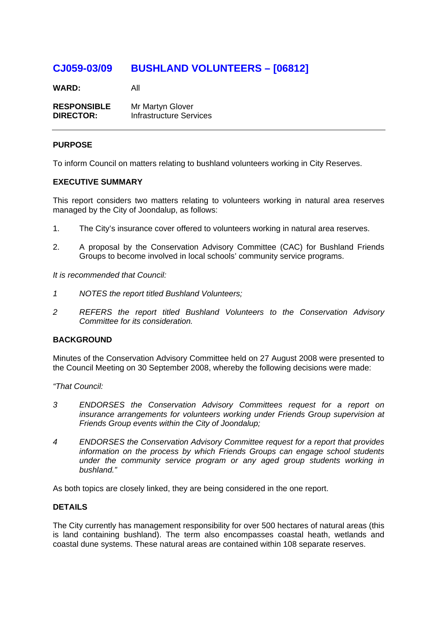### **CJ059-03/09 BUSHLAND VOLUNTEERS – [06812]**

**WARD:** All

**RESPONSIBLE** Mr Martyn Glover **DIRECTOR:** Infrastructure Services

#### **PURPOSE**

To inform Council on matters relating to bushland volunteers working in City Reserves.

#### **EXECUTIVE SUMMARY**

This report considers two matters relating to volunteers working in natural area reserves managed by the City of Joondalup, as follows:

- 1. The City's insurance cover offered to volunteers working in natural area reserves.
- 2. A proposal by the Conservation Advisory Committee (CAC) for Bushland Friends Groups to become involved in local schools' community service programs.

*It is recommended that Council:* 

- *1 NOTES the report titled Bushland Volunteers;*
- *2 REFERS the report titled Bushland Volunteers to the Conservation Advisory Committee for its consideration.*

#### **BACKGROUND**

Minutes of the Conservation Advisory Committee held on 27 August 2008 were presented to the Council Meeting on 30 September 2008, whereby the following decisions were made:

*"That Council:* 

- *3 ENDORSES the Conservation Advisory Committees request for a report on insurance arrangements for volunteers working under Friends Group supervision at Friends Group events within the City of Joondalup;*
- *4 ENDORSES the Conservation Advisory Committee request for a report that provides information on the process by which Friends Groups can engage school students under the community service program or any aged group students working in bushland."*

As both topics are closely linked, they are being considered in the one report.

#### **DETAILS**

The City currently has management responsibility for over 500 hectares of natural areas (this is land containing bushland). The term also encompasses coastal heath, wetlands and coastal dune systems. These natural areas are contained within 108 separate reserves.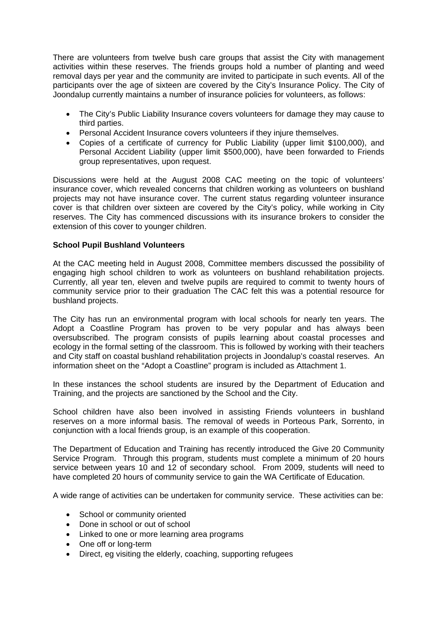There are volunteers from twelve bush care groups that assist the City with management activities within these reserves. The friends groups hold a number of planting and weed removal days per year and the community are invited to participate in such events. All of the participants over the age of sixteen are covered by the City's Insurance Policy. The City of Joondalup currently maintains a number of insurance policies for volunteers, as follows:

- The City's Public Liability Insurance covers volunteers for damage they may cause to third parties.
- Personal Accident Insurance covers volunteers if they injure themselves.
- Copies of a certificate of currency for Public Liability (upper limit \$100,000), and Personal Accident Liability (upper limit \$500,000), have been forwarded to Friends group representatives, upon request.

Discussions were held at the August 2008 CAC meeting on the topic of volunteers' insurance cover, which revealed concerns that children working as volunteers on bushland projects may not have insurance cover. The current status regarding volunteer insurance cover is that children over sixteen are covered by the City's policy, while working in City reserves. The City has commenced discussions with its insurance brokers to consider the extension of this cover to younger children.

#### **School Pupil Bushland Volunteers**

At the CAC meeting held in August 2008, Committee members discussed the possibility of engaging high school children to work as volunteers on bushland rehabilitation projects. Currently, all year ten, eleven and twelve pupils are required to commit to twenty hours of community service prior to their graduation The CAC felt this was a potential resource for bushland projects.

The City has run an environmental program with local schools for nearly ten years. The Adopt a Coastline Program has proven to be very popular and has always been oversubscribed. The program consists of pupils learning about coastal processes and ecology in the formal setting of the classroom. This is followed by working with their teachers and City staff on coastal bushland rehabilitation projects in Joondalup's coastal reserves. An information sheet on the "Adopt a Coastline" program is included as Attachment 1.

In these instances the school students are insured by the Department of Education and Training, and the projects are sanctioned by the School and the City.

School children have also been involved in assisting Friends volunteers in bushland reserves on a more informal basis. The removal of weeds in Porteous Park, Sorrento, in conjunction with a local friends group, is an example of this cooperation.

The Department of Education and Training has recently introduced the Give 20 Community Service Program. Through this program, students must complete a minimum of 20 hours service between years 10 and 12 of secondary school. From 2009, students will need to have completed 20 hours of community service to gain the WA Certificate of Education.

A wide range of activities can be undertaken for community service. These activities can be:

- School or community oriented
- Done in school or out of school
- Linked to one or more learning area programs
- One off or long-term
- Direct, eg visiting the elderly, coaching, supporting refugees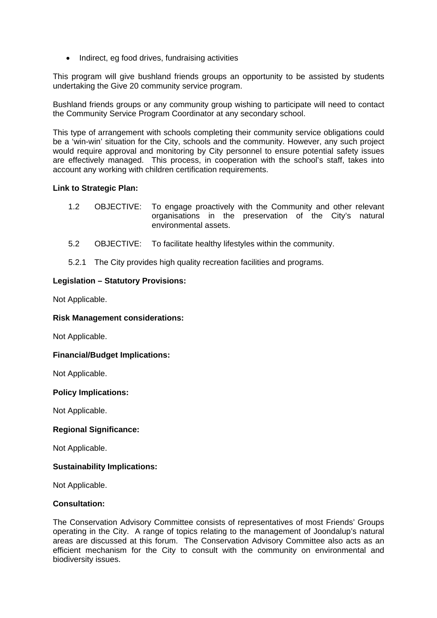• Indirect, eg food drives, fundraising activities

This program will give bushland friends groups an opportunity to be assisted by students undertaking the Give 20 community service program.

Bushland friends groups or any community group wishing to participate will need to contact the Community Service Program Coordinator at any secondary school.

This type of arrangement with schools completing their community service obligations could be a 'win-win' situation for the City, schools and the community. However, any such project would require approval and monitoring by City personnel to ensure potential safety issues are effectively managed. This process, in cooperation with the school's staff, takes into account any working with children certification requirements.

#### **Link to Strategic Plan:**

- 1.2 OBJECTIVE: To engage proactively with the Community and other relevant organisations in the preservation of the City's natural environmental assets.
- 5.2 OBJECTIVE: To facilitate healthy lifestyles within the community.
- 5.2.1 The City provides high quality recreation facilities and programs.

#### **Legislation – Statutory Provisions:**

Not Applicable.

#### **Risk Management considerations:**

Not Applicable.

#### **Financial/Budget Implications:**

Not Applicable.

#### **Policy Implications:**

Not Applicable.

#### **Regional Significance:**

Not Applicable.

#### **Sustainability Implications:**

Not Applicable.

#### **Consultation:**

The Conservation Advisory Committee consists of representatives of most Friends' Groups operating in the City. A range of topics relating to the management of Joondalup's natural areas are discussed at this forum. The Conservation Advisory Committee also acts as an efficient mechanism for the City to consult with the community on environmental and biodiversity issues.